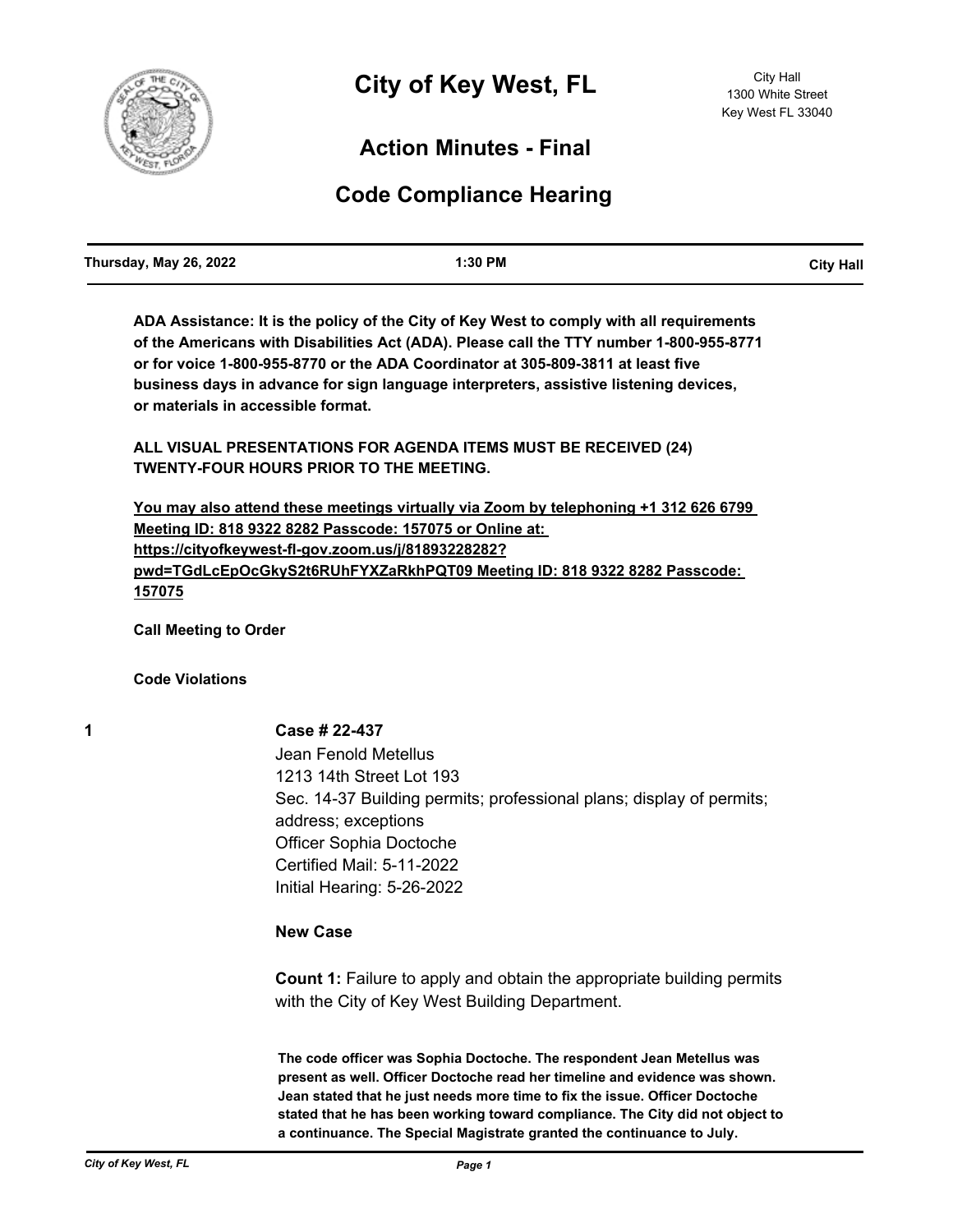

# **Action Minutes - Final**

# **Code Compliance Hearing**

**ADA Assistance: It is the policy of the City of Key West to comply with all requirements of the Americans with Disabilities Act (ADA). Please call the TTY number 1-800-955-8771 or for voice 1-800-955-8770 or the ADA Coordinator at 305-809-3811 at least five business days in advance for sign language interpreters, assistive listening devices, or materials in accessible format.**

**ALL VISUAL PRESENTATIONS FOR AGENDA ITEMS MUST BE RECEIVED (24) TWENTY-FOUR HOURS PRIOR TO THE MEETING.**

**You may also attend these meetings virtually via Zoom by telephoning +1 312 626 6799 Meeting ID: 818 9322 8282 Passcode: 157075 or Online at: https://cityofkeywest-fl-gov.zoom.us/j/81893228282? pwd=TGdLcEpOcGkyS2t6RUhFYXZaRkhPQT09 Meeting ID: 818 9322 8282 Passcode: 157075**

**Call Meeting to Order**

**Code Violations**

# **1 Case # 22-437**

Jean Fenold Metellus 1213 14th Street Lot 193 Sec. 14-37 Building permits; professional plans; display of permits; address; exceptions Officer Sophia Doctoche Certified Mail: 5-11-2022 Initial Hearing: 5-26-2022

# **New Case**

**Count 1:** Failure to apply and obtain the appropriate building permits with the City of Key West Building Department.

**The code officer was Sophia Doctoche. The respondent Jean Metellus was present as well. Officer Doctoche read her timeline and evidence was shown. Jean stated that he just needs more time to fix the issue. Officer Doctoche stated that he has been working toward compliance. The City did not object to a continuance. The Special Magistrate granted the continuance to July.**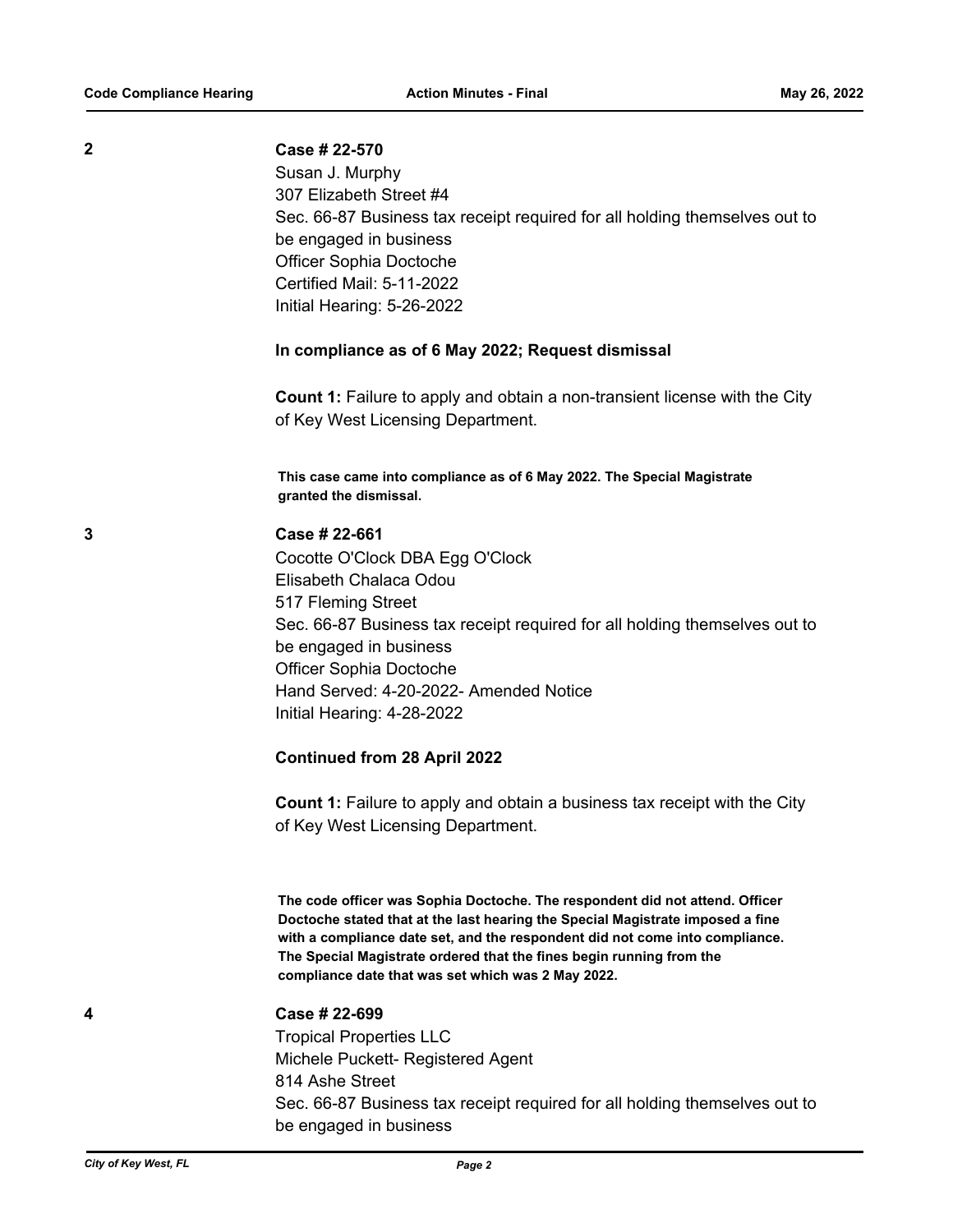#### **2 Case # 22-570**

Susan J. Murphy 307 Elizabeth Street #4 Sec. 66-87 Business tax receipt required for all holding themselves out to be engaged in business Officer Sophia Doctoche Certified Mail: 5-11-2022 Initial Hearing: 5-26-2022

#### **In compliance as of 6 May 2022; Request dismissal**

**Count 1:** Failure to apply and obtain a non-transient license with the City of Key West Licensing Department.

**This case came into compliance as of 6 May 2022. The Special Magistrate granted the dismissal.**

# **3 Case # 22-661**

Cocotte O'Clock DBA Egg O'Clock Elisabeth Chalaca Odou 517 Fleming Street Sec. 66-87 Business tax receipt required for all holding themselves out to be engaged in business Officer Sophia Doctoche Hand Served: 4-20-2022- Amended Notice Initial Hearing: 4-28-2022

### **Continued from 28 April 2022**

**Count 1:** Failure to apply and obtain a business tax receipt with the City of Key West Licensing Department.

**The code officer was Sophia Doctoche. The respondent did not attend. Officer Doctoche stated that at the last hearing the Special Magistrate imposed a fine with a compliance date set, and the respondent did not come into compliance. The Special Magistrate ordered that the fines begin running from the compliance date that was set which was 2 May 2022.**

# **4 Case # 22-699**

Tropical Properties LLC Michele Puckett- Registered Agent 814 Ashe Street Sec. 66-87 Business tax receipt required for all holding themselves out to be engaged in business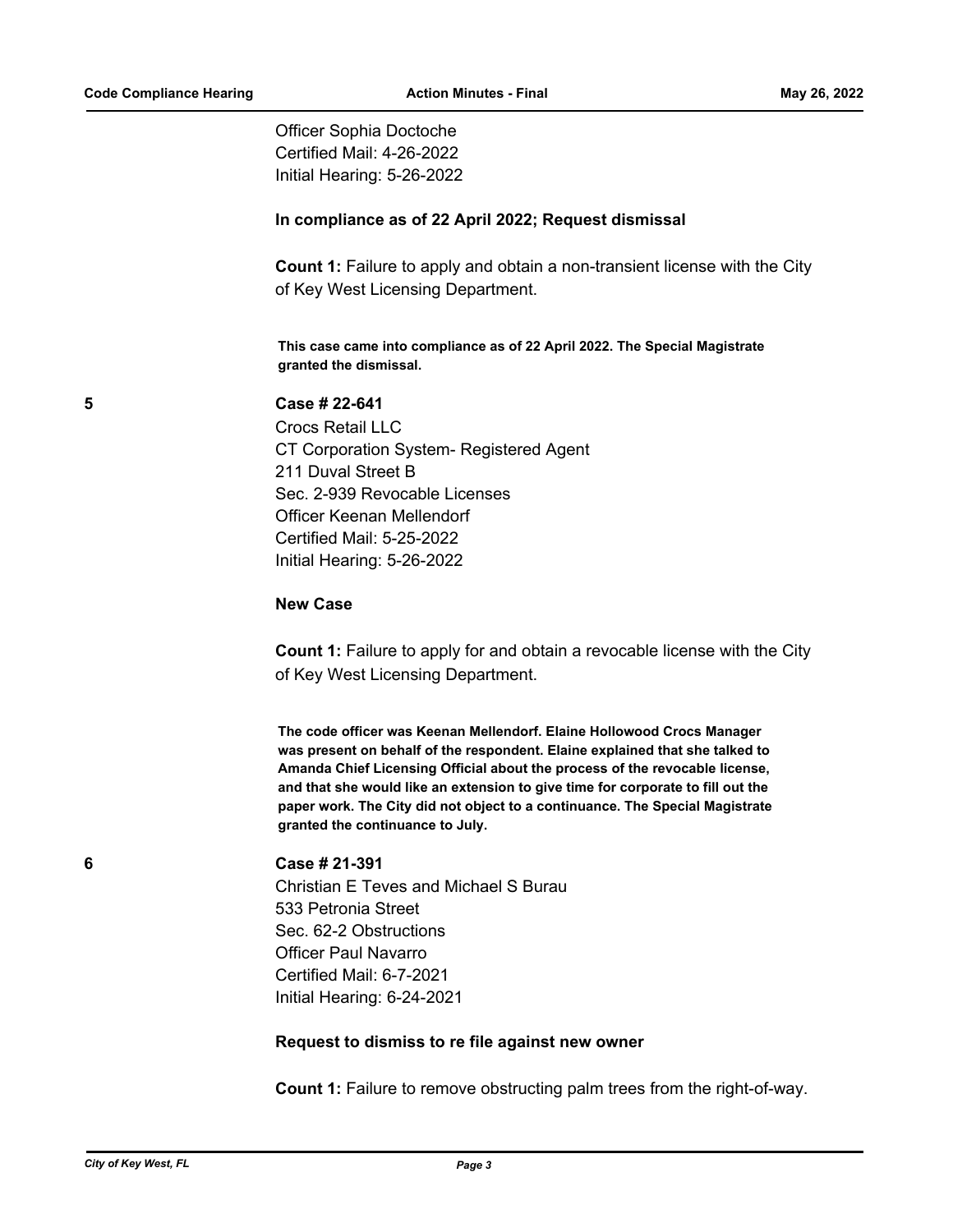Officer Sophia Doctoche Certified Mail: 4-26-2022 Initial Hearing: 5-26-2022

# **In compliance as of 22 April 2022; Request dismissal**

**Count 1:** Failure to apply and obtain a non-transient license with the City of Key West Licensing Department.

**This case came into compliance as of 22 April 2022. The Special Magistrate granted the dismissal.**

# **5 Case # 22-641**

Crocs Retail LLC CT Corporation System- Registered Agent 211 Duval Street B Sec. 2-939 Revocable Licenses Officer Keenan Mellendorf Certified Mail: 5-25-2022 Initial Hearing: 5-26-2022

### **New Case**

**Count 1:** Failure to apply for and obtain a revocable license with the City of Key West Licensing Department.

**The code officer was Keenan Mellendorf. Elaine Hollowood Crocs Manager was present on behalf of the respondent. Elaine explained that she talked to Amanda Chief Licensing Official about the process of the revocable license, and that she would like an extension to give time for corporate to fill out the paper work. The City did not object to a continuance. The Special Magistrate granted the continuance to July.**

# **6 Case # 21-391**

Christian E Teves and Michael S Burau 533 Petronia Street Sec. 62-2 Obstructions Officer Paul Navarro Certified Mail: 6-7-2021 Initial Hearing: 6-24-2021

# **Request to dismiss to re file against new owner**

**Count 1:** Failure to remove obstructing palm trees from the right-of-way.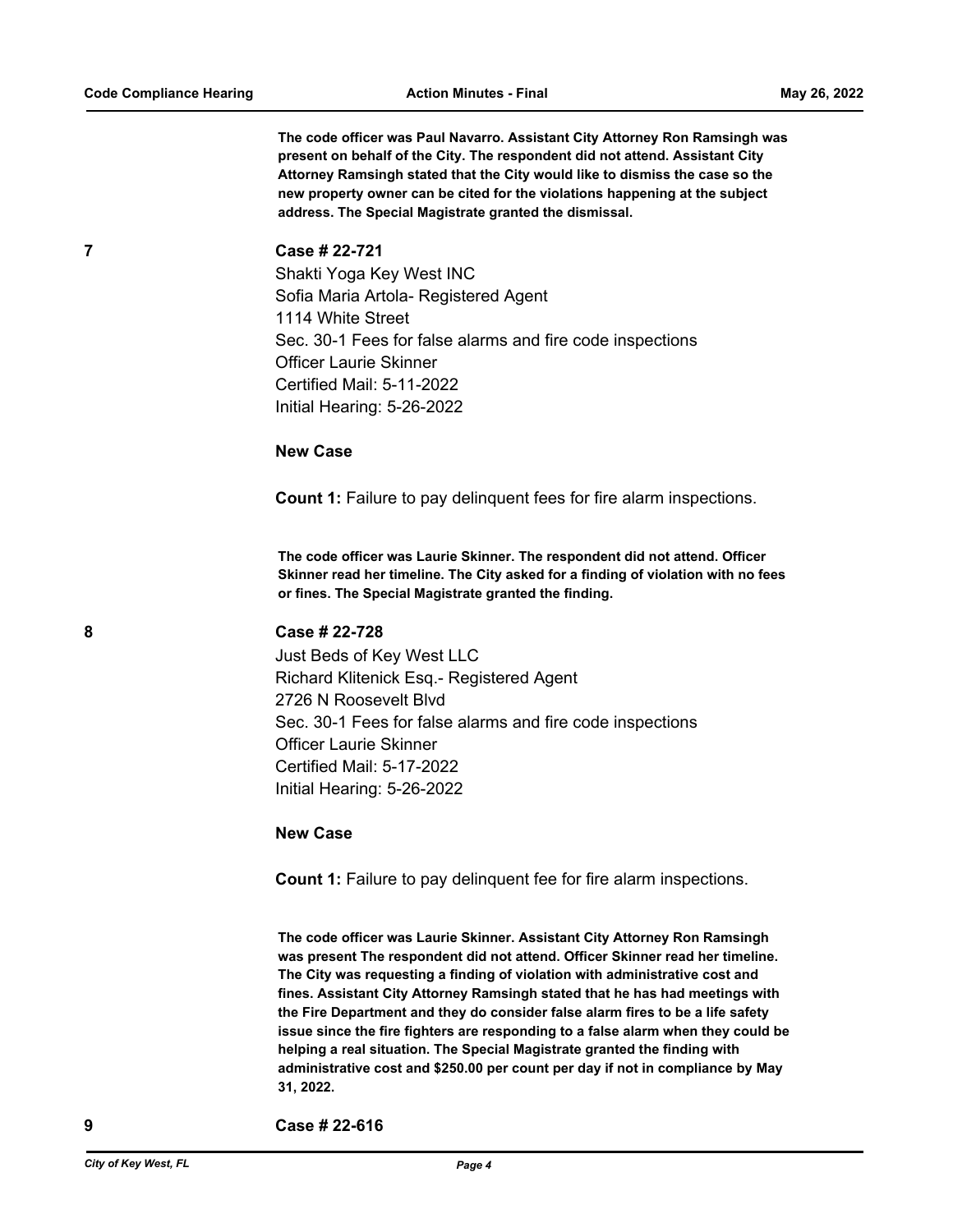**The code officer was Paul Navarro. Assistant City Attorney Ron Ramsingh was present on behalf of the City. The respondent did not attend. Assistant City Attorney Ramsingh stated that the City would like to dismiss the case so the new property owner can be cited for the violations happening at the subject address. The Special Magistrate granted the dismissal.**

### **7 Case # 22-721**

Shakti Yoga Key West INC Sofia Maria Artola- Registered Agent 1114 White Street Sec. 30-1 Fees for false alarms and fire code inspections Officer Laurie Skinner Certified Mail: 5-11-2022 Initial Hearing: 5-26-2022

#### **New Case**

**Count 1:** Failure to pay delinquent fees for fire alarm inspections.

**The code officer was Laurie Skinner. The respondent did not attend. Officer Skinner read her timeline. The City asked for a finding of violation with no fees or fines. The Special Magistrate granted the finding.**

#### **8 Case # 22-728**

Just Beds of Key West LLC Richard Klitenick Esq.- Registered Agent 2726 N Roosevelt Blvd Sec. 30-1 Fees for false alarms and fire code inspections Officer Laurie Skinner Certified Mail: 5-17-2022 Initial Hearing: 5-26-2022

### **New Case**

**Count 1:** Failure to pay delinquent fee for fire alarm inspections.

**The code officer was Laurie Skinner. Assistant City Attorney Ron Ramsingh was present The respondent did not attend. Officer Skinner read her timeline. The City was requesting a finding of violation with administrative cost and fines. Assistant City Attorney Ramsingh stated that he has had meetings with the Fire Department and they do consider false alarm fires to be a life safety issue since the fire fighters are responding to a false alarm when they could be helping a real situation. The Special Magistrate granted the finding with administrative cost and \$250.00 per count per day if not in compliance by May 31, 2022.**

**9 Case # 22-616**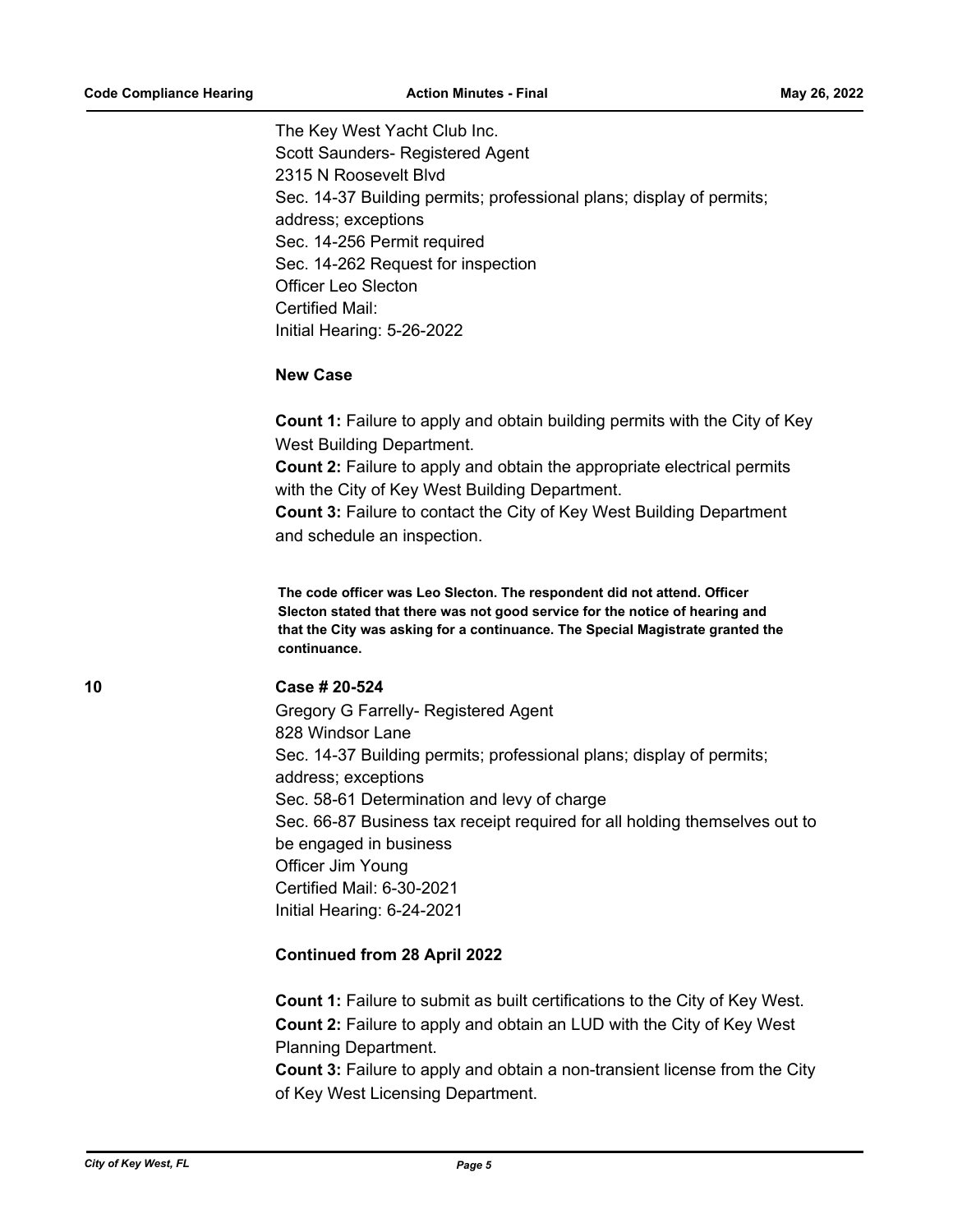The Key West Yacht Club Inc. Scott Saunders- Registered Agent 2315 N Roosevelt Blvd Sec. 14-37 Building permits; professional plans; display of permits; address; exceptions Sec. 14-256 Permit required Sec. 14-262 Request for inspection Officer Leo Slecton Certified Mail: Initial Hearing: 5-26-2022

# **New Case**

**Count 1:** Failure to apply and obtain building permits with the City of Key West Building Department.

**Count 2:** Failure to apply and obtain the appropriate electrical permits with the City of Key West Building Department.

**Count 3:** Failure to contact the City of Key West Building Department and schedule an inspection.

**The code officer was Leo Slecton. The respondent did not attend. Officer Slecton stated that there was not good service for the notice of hearing and that the City was asking for a continuance. The Special Magistrate granted the continuance.**

# **10 Case # 20-524**

Gregory G Farrelly- Registered Agent 828 Windsor Lane Sec. 14-37 Building permits; professional plans; display of permits; address; exceptions Sec. 58-61 Determination and levy of charge Sec. 66-87 Business tax receipt required for all holding themselves out to be engaged in business Officer Jim Young Certified Mail: 6-30-2021 Initial Hearing: 6-24-2021

# **Continued from 28 April 2022**

**Count 1:** Failure to submit as built certifications to the City of Key West. **Count 2:** Failure to apply and obtain an LUD with the City of Key West Planning Department. **Count 3:** Failure to apply and obtain a non-transient license from the City of Key West Licensing Department.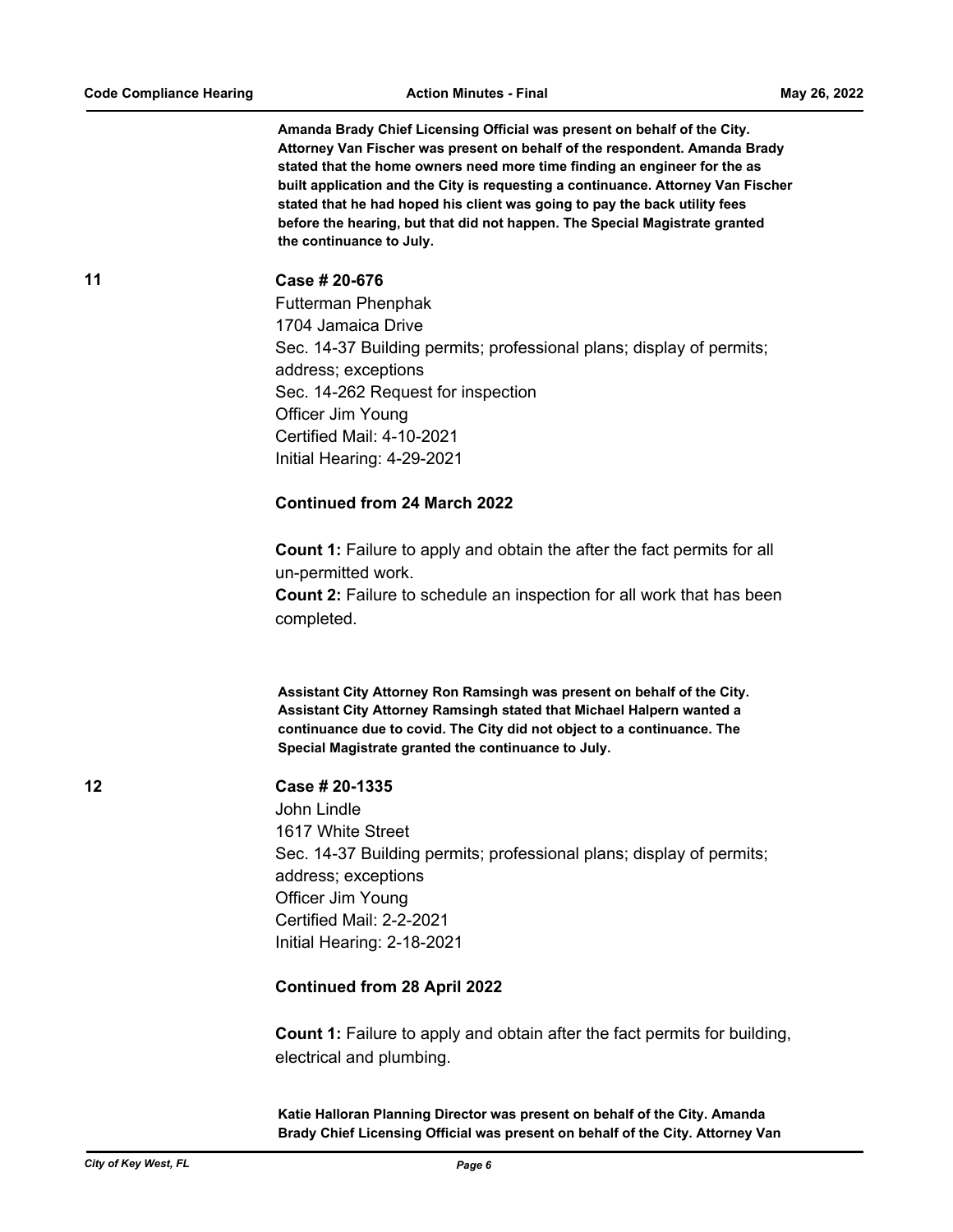**Amanda Brady Chief Licensing Official was present on behalf of the City. Attorney Van Fischer was present on behalf of the respondent. Amanda Brady stated that the home owners need more time finding an engineer for the as built application and the City is requesting a continuance. Attorney Van Fischer stated that he had hoped his client was going to pay the back utility fees before the hearing, but that did not happen. The Special Magistrate granted the continuance to July.**

**11 Case # 20-676**

Futterman Phenphak 1704 Jamaica Drive Sec. 14-37 Building permits; professional plans; display of permits; address; exceptions Sec. 14-262 Request for inspection Officer Jim Young Certified Mail: 4-10-2021 Initial Hearing: 4-29-2021

#### **Continued from 24 March 2022**

**Count 1:** Failure to apply and obtain the after the fact permits for all un-permitted work.

**Count 2:** Failure to schedule an inspection for all work that has been completed.

**Assistant City Attorney Ron Ramsingh was present on behalf of the City. Assistant City Attorney Ramsingh stated that Michael Halpern wanted a continuance due to covid. The City did not object to a continuance. The Special Magistrate granted the continuance to July.**

**12 Case # 20-1335**

John Lindle 1617 White Street Sec. 14-37 Building permits; professional plans; display of permits; address; exceptions Officer Jim Young Certified Mail: 2-2-2021 Initial Hearing: 2-18-2021

# **Continued from 28 April 2022**

**Count 1:** Failure to apply and obtain after the fact permits for building, electrical and plumbing.

**Katie Halloran Planning Director was present on behalf of the City. Amanda Brady Chief Licensing Official was present on behalf of the City. Attorney Van**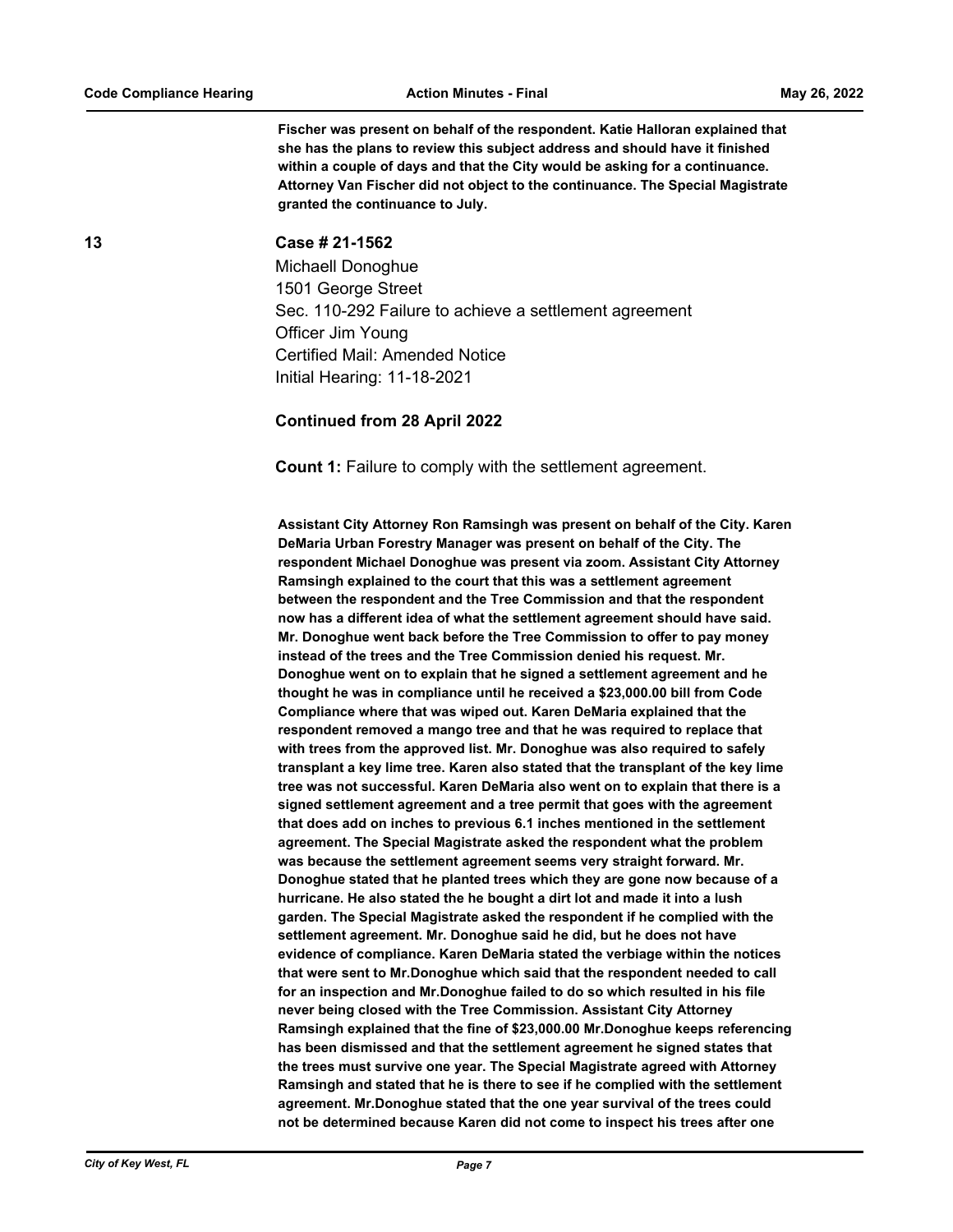**Fischer was present on behalf of the respondent. Katie Halloran explained that she has the plans to review this subject address and should have it finished within a couple of days and that the City would be asking for a continuance. Attorney Van Fischer did not object to the continuance. The Special Magistrate granted the continuance to July.**

#### **13 Case # 21-1562**

Michaell Donoghue 1501 George Street Sec. 110-292 Failure to achieve a settlement agreement Officer Jim Young Certified Mail: Amended Notice Initial Hearing: 11-18-2021

### **Continued from 28 April 2022**

**Count 1:** Failure to comply with the settlement agreement.

**Assistant City Attorney Ron Ramsingh was present on behalf of the City. Karen DeMaria Urban Forestry Manager was present on behalf of the City. The respondent Michael Donoghue was present via zoom. Assistant City Attorney Ramsingh explained to the court that this was a settlement agreement between the respondent and the Tree Commission and that the respondent now has a different idea of what the settlement agreement should have said. Mr. Donoghue went back before the Tree Commission to offer to pay money instead of the trees and the Tree Commission denied his request. Mr. Donoghue went on to explain that he signed a settlement agreement and he thought he was in compliance until he received a \$23,000.00 bill from Code Compliance where that was wiped out. Karen DeMaria explained that the respondent removed a mango tree and that he was required to replace that with trees from the approved list. Mr. Donoghue was also required to safely transplant a key lime tree. Karen also stated that the transplant of the key lime tree was not successful. Karen DeMaria also went on to explain that there is a signed settlement agreement and a tree permit that goes with the agreement that does add on inches to previous 6.1 inches mentioned in the settlement agreement. The Special Magistrate asked the respondent what the problem was because the settlement agreement seems very straight forward. Mr. Donoghue stated that he planted trees which they are gone now because of a hurricane. He also stated the he bought a dirt lot and made it into a lush garden. The Special Magistrate asked the respondent if he complied with the settlement agreement. Mr. Donoghue said he did, but he does not have evidence of compliance. Karen DeMaria stated the verbiage within the notices that were sent to Mr.Donoghue which said that the respondent needed to call for an inspection and Mr.Donoghue failed to do so which resulted in his file never being closed with the Tree Commission. Assistant City Attorney Ramsingh explained that the fine of \$23,000.00 Mr.Donoghue keeps referencing has been dismissed and that the settlement agreement he signed states that the trees must survive one year. The Special Magistrate agreed with Attorney Ramsingh and stated that he is there to see if he complied with the settlement agreement. Mr.Donoghue stated that the one year survival of the trees could not be determined because Karen did not come to inspect his trees after one**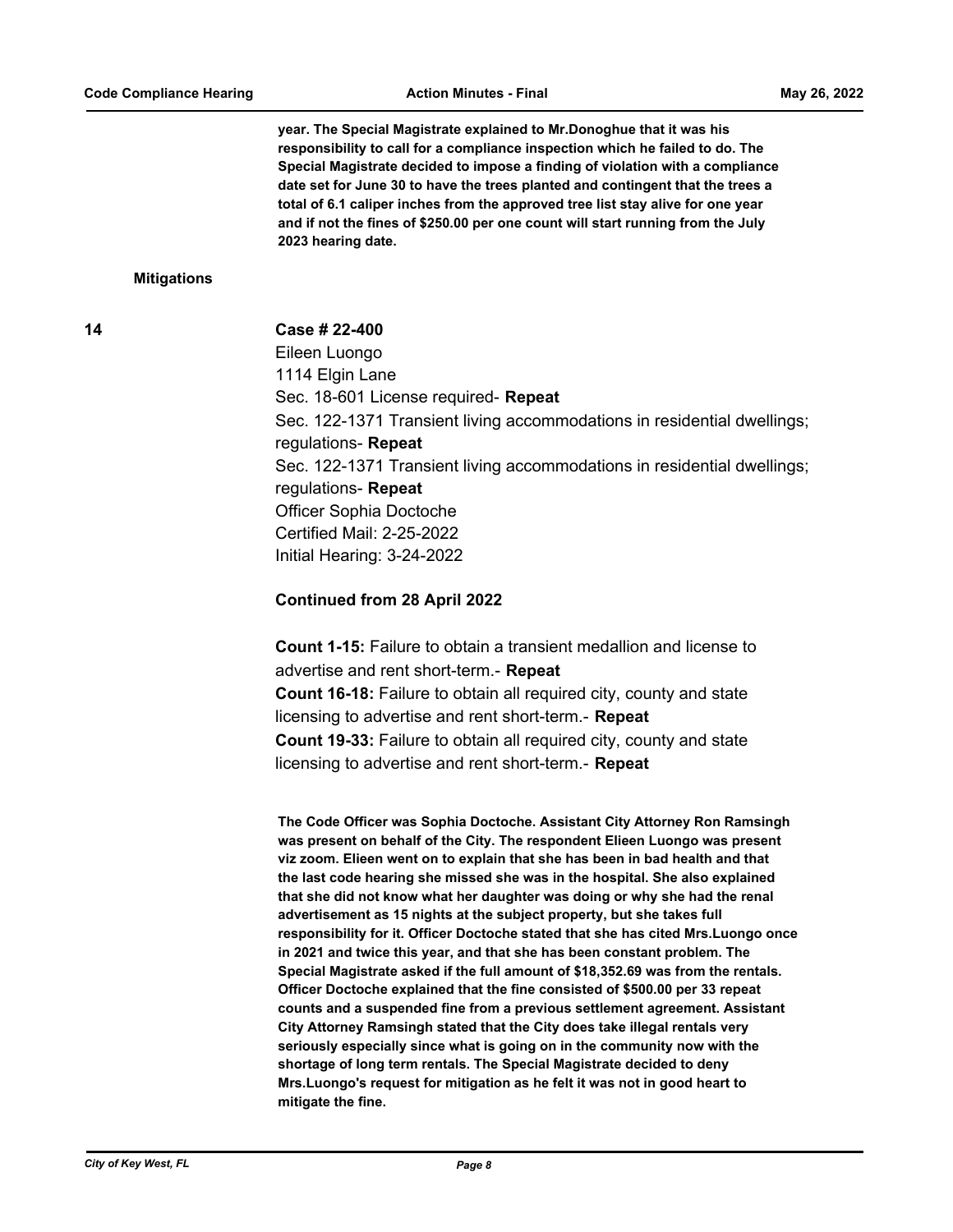**year. The Special Magistrate explained to Mr.Donoghue that it was his responsibility to call for a compliance inspection which he failed to do. The Special Magistrate decided to impose a finding of violation with a compliance date set for June 30 to have the trees planted and contingent that the trees a total of 6.1 caliper inches from the approved tree list stay alive for one year and if not the fines of \$250.00 per one count will start running from the July 2023 hearing date.**

#### **Mitigations**

#### **14 Case # 22-400**

Eileen Luongo 1114 Elgin Lane Sec. 18-601 License required- **Repeat** Sec. 122-1371 Transient living accommodations in residential dwellings; regulations- **Repeat** Sec. 122-1371 Transient living accommodations in residential dwellings; regulations- **Repeat** Officer Sophia Doctoche Certified Mail: 2-25-2022 Initial Hearing: 3-24-2022

# **Continued from 28 April 2022**

**Count 1-15:** Failure to obtain a transient medallion and license to advertise and rent short-term.- **Repeat Count 16-18:** Failure to obtain all required city, county and state licensing to advertise and rent short-term.- **Repeat Count 19-33:** Failure to obtain all required city, county and state licensing to advertise and rent short-term.- **Repeat**

**The Code Officer was Sophia Doctoche. Assistant City Attorney Ron Ramsingh was present on behalf of the City. The respondent Elieen Luongo was present viz zoom. Elieen went on to explain that she has been in bad health and that the last code hearing she missed she was in the hospital. She also explained that she did not know what her daughter was doing or why she had the renal advertisement as 15 nights at the subject property, but she takes full responsibility for it. Officer Doctoche stated that she has cited Mrs.Luongo once in 2021 and twice this year, and that she has been constant problem. The Special Magistrate asked if the full amount of \$18,352.69 was from the rentals. Officer Doctoche explained that the fine consisted of \$500.00 per 33 repeat counts and a suspended fine from a previous settlement agreement. Assistant City Attorney Ramsingh stated that the City does take illegal rentals very seriously especially since what is going on in the community now with the shortage of long term rentals. The Special Magistrate decided to deny Mrs.Luongo's request for mitigation as he felt it was not in good heart to mitigate the fine.**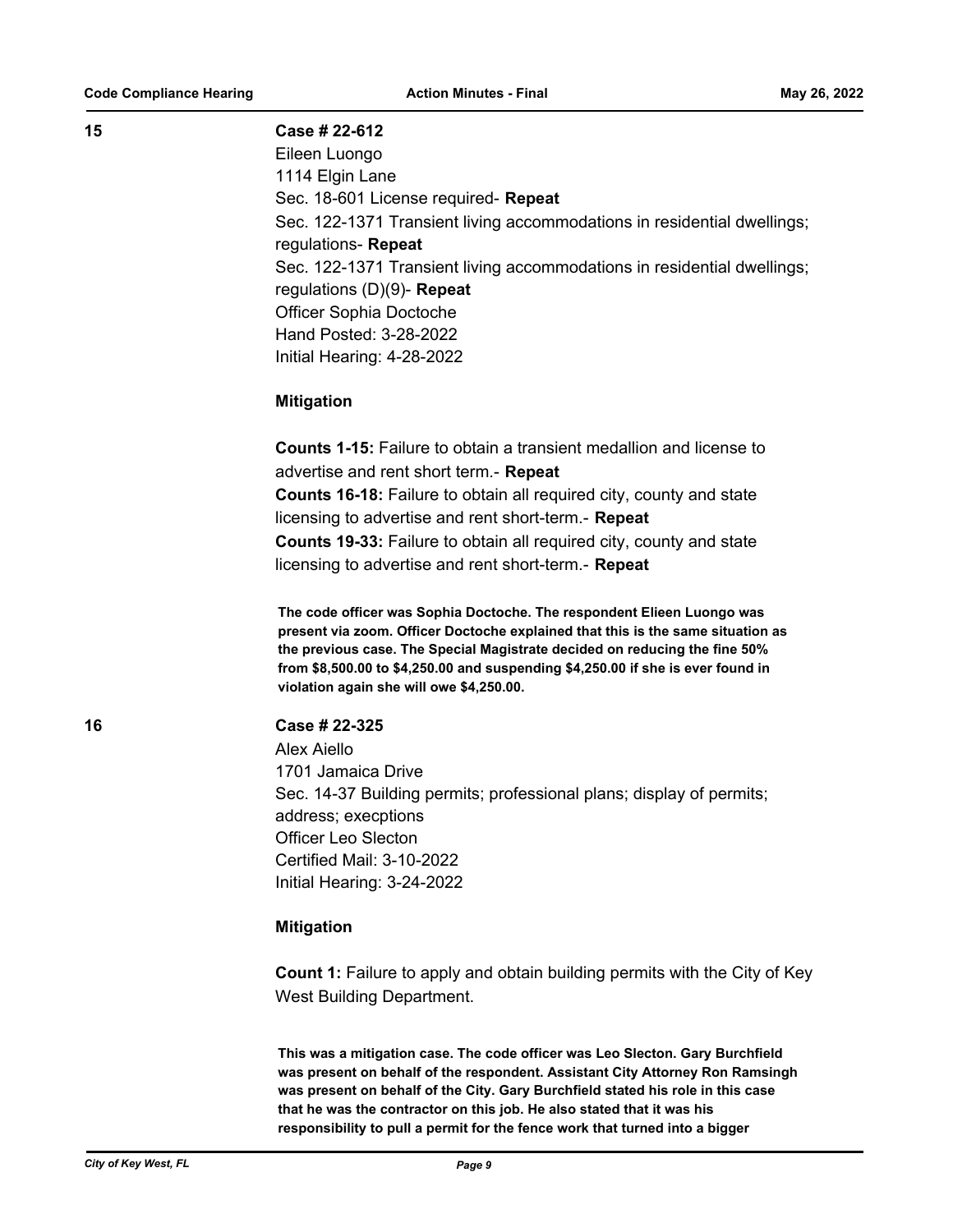#### **15 Case # 22-612**

Eileen Luongo 1114 Elgin Lane Sec. 18-601 License required- **Repeat** Sec. 122-1371 Transient living accommodations in residential dwellings; regulations- **Repeat** Sec. 122-1371 Transient living accommodations in residential dwellings; regulations (D)(9)- **Repeat** Officer Sophia Doctoche Hand Posted: 3-28-2022 Initial Hearing: 4-28-2022

# **Mitigation**

**Counts 1-15:** Failure to obtain a transient medallion and license to advertise and rent short term.- **Repeat Counts 16-18:** Failure to obtain all required city, county and state licensing to advertise and rent short-term.- **Repeat Counts 19-33:** Failure to obtain all required city, county and state licensing to advertise and rent short-term.- **Repeat**

**The code officer was Sophia Doctoche. The respondent Elieen Luongo was present via zoom. Officer Doctoche explained that this is the same situation as the previous case. The Special Magistrate decided on reducing the fine 50% from \$8,500.00 to \$4,250.00 and suspending \$4,250.00 if she is ever found in violation again she will owe \$4,250.00.**

# **16 Case # 22-325**

Alex Aiello 1701 Jamaica Drive Sec. 14-37 Building permits; professional plans; display of permits; address; execptions Officer Leo Slecton Certified Mail: 3-10-2022 Initial Hearing: 3-24-2022

#### **Mitigation**

**Count 1:** Failure to apply and obtain building permits with the City of Key West Building Department.

**This was a mitigation case. The code officer was Leo Slecton. Gary Burchfield was present on behalf of the respondent. Assistant City Attorney Ron Ramsingh was present on behalf of the City. Gary Burchfield stated his role in this case that he was the contractor on this job. He also stated that it was his responsibility to pull a permit for the fence work that turned into a bigger**